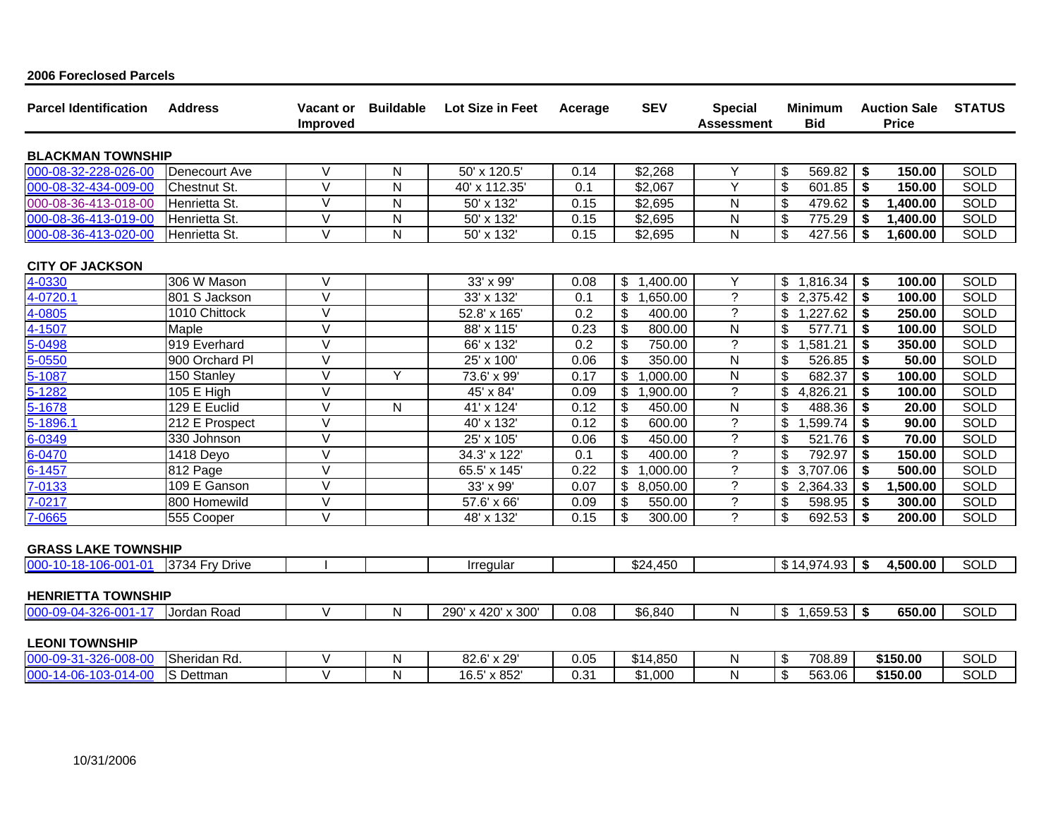| <b>Parcel Identification</b> | <b>Address</b> | Vacant or<br><b>Improved</b> | <b>Buildable</b> | Lot Size in Feet        | Acerage | <b>SEV</b>     | <b>Special</b><br><b>Assessment</b> | <b>Minimum</b><br><b>Bid</b> | <b>Auction Sale</b><br><b>Price</b> | <b>STATUS</b> |  |
|------------------------------|----------------|------------------------------|------------------|-------------------------|---------|----------------|-------------------------------------|------------------------------|-------------------------------------|---------------|--|
| <b>BLACKMAN TOWNSHIP</b>     |                |                              |                  |                         |         |                |                                     |                              |                                     |               |  |
| 000-08-32-228-026-00         | Denecourt Ave  | V                            | N                | 50' x 120.5'            | 0.14    | \$2,268        | Y                                   | 569.82<br>\$                 | -\$<br>150.00                       | <b>SOLD</b>   |  |
| 000-08-32-434-009-00         | Chestnut St.   | $\vee$                       | $\mathsf{N}$     | 40' x 112.35'           | 0.1     | \$2,067        | Y                                   | \$<br>601.85                 | \$<br>150.00                        | <b>SOLD</b>   |  |
| 000-08-36-413-018-00         | Henrietta St.  | $\vee$                       | ${\sf N}$        | 50' x 132'              | 0.15    | \$2,695        | N                                   | \$<br>479.62                 | -\$<br>1,400.00                     | <b>SOLD</b>   |  |
| 000-08-36-413-019-00         | Henrietta St.  | V                            | ${\sf N}$        | 50' x 132'              | 0.15    | \$2,695        | N                                   | \$<br>775.29                 | 1,400.00<br>-\$                     | SOLD          |  |
| 000-08-36-413-020-00         | Henrietta St.  | $\vee$                       | $\mathsf{N}$     | 50' x 132'              | 0.15    | \$2,695        | $\mathsf{N}$                        | \$<br>427.56                 | -\$<br>1,600.00                     | <b>SOLD</b>   |  |
| <b>CITY OF JACKSON</b>       |                |                              |                  |                         |         |                |                                     |                              |                                     |               |  |
| 4-0330                       | 306 W Mason    | $\vee$                       |                  | 33' x 99'               | 0.08    | \$1,400.00     | Υ                                   | \$1,816.34                   | \$<br>100.00                        | <b>SOLD</b>   |  |
| 4-0720.1                     | 801 S Jackson  | $\overline{\vee}$            |                  | 33' x 132'              | 0.1     | \$<br>1,650.00 | $\overline{\phantom{a}}$            | \$<br>2,375.42               | $\boldsymbol{\hat{3}}$<br>100.00    | <b>SOLD</b>   |  |
| 4-0805                       | 1010 Chittock  | V                            |                  | 52.8' x 165'            | 0.2     | \$<br>400.00   | ?                                   | 1,227.62<br>\$               | -\$<br>250.00                       | SOLD          |  |
| 4-1507                       | Maple          | $\vee$                       |                  | 88' x 115'              | 0.23    | \$<br>800.00   | N                                   | \$<br>577.71                 | \$<br>100.00                        | <b>SOLD</b>   |  |
| 5-0498                       | 919 Everhard   | $\vee$                       |                  | 66' x 132'              | 0.2     | \$<br>750.00   | $\overline{?}$                      | \$<br>1,581.21               | -\$<br>350.00                       | SOLD          |  |
| $5 - 0550$                   | 900 Orchard PI | $\vee$                       |                  | 25' x 100'              | 0.06    | \$<br>350.00   | $\overline{\mathsf{N}}$             | \$<br>526.85                 | \$<br>50.00                         | <b>SOLD</b>   |  |
| 5-1087                       | 150 Stanley    | $\vee$                       | Y                | 73.6' x 99'             | 0.17    | \$<br>,000.00  | $\mathsf{N}$                        | \$<br>682.37                 | \$<br>100.00                        | <b>SOLD</b>   |  |
| 5-1282                       | 105 E High     | $\vee$                       |                  | 45' x 84'               | 0.09    | \$<br>,900.00  | $\overline{?}$                      | \$<br>4,826.21               | -\$<br>100.00                       | <b>SOLD</b>   |  |
| 5-1678                       | 129 E Euclid   | $\vee$                       | N                | 41' x 124'              | 0.12    | \$<br>450.00   | $\overline{N}$                      | \$<br>488.36                 | \$<br>20.00                         | <b>SOLD</b>   |  |
| 5-1896.1                     | 212 E Prospect | $\vee$                       |                  | 40' x 132'              | 0.12    | \$<br>600.00   | $\overline{?}$                      | \$<br>,599.74                | -\$<br>90.00                        | <b>SOLD</b>   |  |
| 6-0349                       | 330 Johnson    | $\vee$                       |                  | 25' x 105'              | 0.06    | \$<br>450.00   | $\overline{?}$                      | \$<br>521.76                 | \$<br>70.00                         | <b>SOLD</b>   |  |
| 6-0470                       | 1418 Deyo      | $\vee$                       |                  | 34.3' x 122'            | 0.1     | \$<br>400.00   | $\gamma$                            | 792.97<br>\$                 | 150.00<br>\$                        | <b>SOLD</b>   |  |
| 6-1457                       | 812 Page       | $\vee$                       |                  | 65.5' x 145'            | 0.22    | \$<br>,000.00  | $\tilde{?}$                         | \$<br>3,707.06               | \$<br>500.00                        | SOLD          |  |
| 7-0133                       | 109 E Ganson   | $\vee$                       |                  | 33' x 99'               | 0.07    | \$<br>8,050.00 | $\tilde{?}$                         | 2,364.33<br>\$               | 1,500.00<br>-\$                     | SOLD          |  |
| 7-0217                       | 800 Homewild   | $\overline{\vee}$            |                  | 57.6' x 66'             | 0.09    | \$<br>550.00   | $\tilde{?}$                         | \$<br>598.95                 | 300.00<br>-\$                       | <b>SOLD</b>   |  |
| 7-0665                       | 555 Cooper     | $\vee$                       |                  | 48' x 132'              | 0.15    | \$<br>300.00   | $\gamma$                            | $\mathsf{\$}$<br>692.53      | \$<br>200.00                        | <b>SOLD</b>   |  |
| <b>GRASS LAKE TOWNSHIP</b>   |                |                              |                  |                         |         |                |                                     |                              |                                     |               |  |
| 000-10-18-106-001-01         | 3734 Fry Drive |                              |                  | Irregular               |         | \$24,450       |                                     | \$14,974.93                  | - \$<br>4,500.00                    | <b>SOLD</b>   |  |
| <b>HENRIETTA TOWNSHIP</b>    |                |                              |                  |                         |         |                |                                     |                              |                                     |               |  |
| 000-09-04-326-001-17         | Jordan Road    | $\vee$                       | N                | 290' x 420' x 300'      | 0.08    | \$6,840        | N                                   | \$1,659.53                   | \$<br>650.00                        | <b>SOLD</b>   |  |
| <b>LEONI TOWNSHIP</b>        |                |                              |                  |                         |         |                |                                     |                              |                                     |               |  |
| 000-09-31-326-008-00         | Sheridan Rd.   | V                            | N                | $\overline{82.6}$ x 29' | 0.05    | \$14,850       | N                                   | \$<br>708.89                 | \$150.00                            | <b>SOLD</b>   |  |
| 000-14-06-103-014-00         | S Dettman      | $\vee$                       | N                | 16.5' x 852'            | 0.31    | \$1,000        | ${\sf N}$                           | \$<br>563.06                 | \$150.00                            | <b>SOLD</b>   |  |

## 2006 Foreclosed Parcels